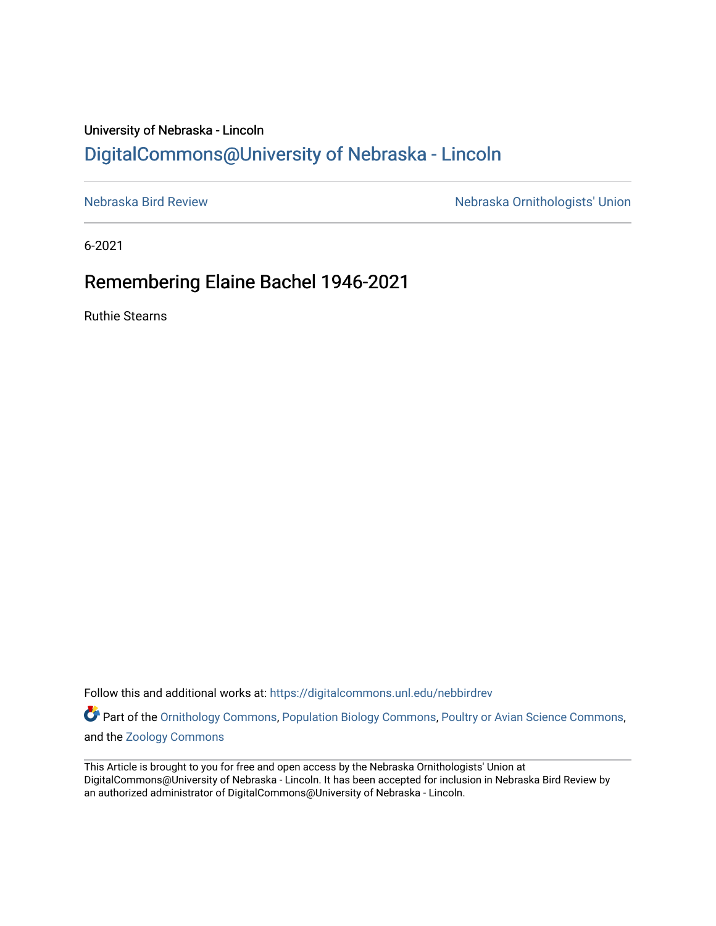## University of Nebraska - Lincoln [DigitalCommons@University of Nebraska - Lincoln](https://digitalcommons.unl.edu/)

[Nebraska Bird Review](https://digitalcommons.unl.edu/nebbirdrev) [Nebraska Ornithologists' Union](https://digitalcommons.unl.edu/nebornithologists) 

6-2021

## Remembering Elaine Bachel 1946-2021

Ruthie Stearns

Follow this and additional works at: [https://digitalcommons.unl.edu/nebbirdrev](https://digitalcommons.unl.edu/nebbirdrev?utm_source=digitalcommons.unl.edu%2Fnebbirdrev%2F1493&utm_medium=PDF&utm_campaign=PDFCoverPages)

Part of the [Ornithology Commons,](http://network.bepress.com/hgg/discipline/1190?utm_source=digitalcommons.unl.edu%2Fnebbirdrev%2F1493&utm_medium=PDF&utm_campaign=PDFCoverPages) [Population Biology Commons](http://network.bepress.com/hgg/discipline/19?utm_source=digitalcommons.unl.edu%2Fnebbirdrev%2F1493&utm_medium=PDF&utm_campaign=PDFCoverPages), [Poultry or Avian Science Commons,](http://network.bepress.com/hgg/discipline/80?utm_source=digitalcommons.unl.edu%2Fnebbirdrev%2F1493&utm_medium=PDF&utm_campaign=PDFCoverPages) and the [Zoology Commons](http://network.bepress.com/hgg/discipline/81?utm_source=digitalcommons.unl.edu%2Fnebbirdrev%2F1493&utm_medium=PDF&utm_campaign=PDFCoverPages) 

This Article is brought to you for free and open access by the Nebraska Ornithologists' Union at DigitalCommons@University of Nebraska - Lincoln. It has been accepted for inclusion in Nebraska Bird Review by an authorized administrator of DigitalCommons@University of Nebraska - Lincoln.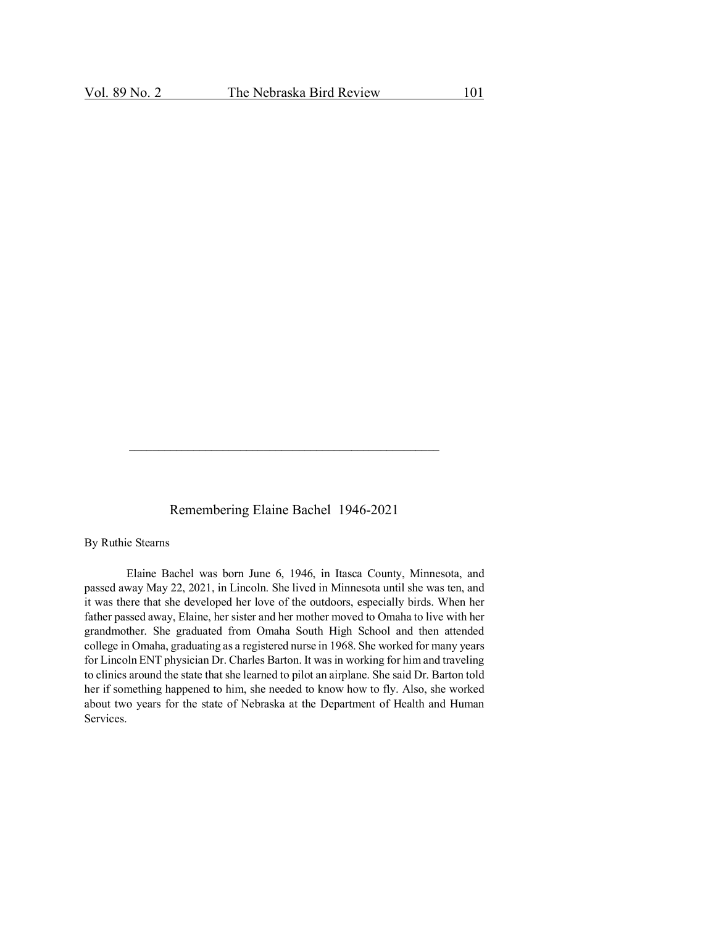Remembering Elaine Bachel 1946-2021

By Ruthie Stearns

Elaine Bachel was born June 6, 1946, in Itasca County, Minnesota, and passed away May 22, 2021, in Lincoln. She lived in Minnesota until she was ten, and it was there that she developed her love of the outdoors, especially birds. When her father passed away, Elaine, her sister and her mother moved to Omaha to live with her grandmother. She graduated from Omaha South High School and then attended college in Omaha, graduating as a registered nurse in 1968. She worked for many years for Lincoln ENT physician Dr. Charles Barton. It was in working for him and traveling to clinics around the state that she learned to pilot an airplane. She said Dr. Barton told her if something happened to him, she needed to know how to fly. Also, she worked about two years for the state of Nebraska at the Department of Health and Human Services.